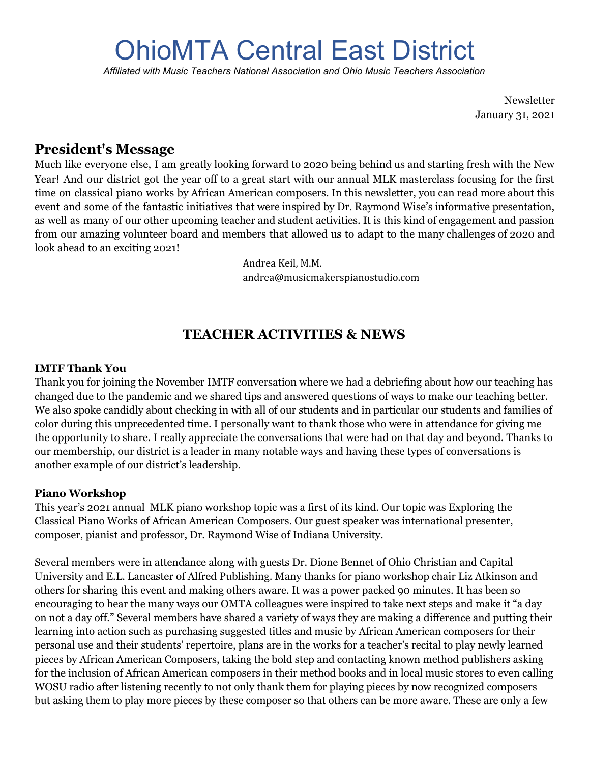# OhioMTA Central East District

*Affiliated with Music Teachers National Association and Ohio Music Teachers Association*

Newsletter January 31, 2021

# **President's Message**

Much like everyone else, I am greatly looking forward to 2020 being behind us and starting fresh with the New Year! And our district got the year off to a great start with our annual MLK masterclass focusing for the first time on classical piano works by African American composers. In this newsletter, you can read more about this event and some of the fantastic initiatives that were inspired by Dr. Raymond Wise's informative presentation, as well as many of our other upcoming teacher and student activities. It is this kind of engagement and passion from our amazing volunteer board and members that allowed us to adapt to the many challenges of 2020 and look ahead to an exciting 2021!

> Andrea Keil, M.M. [andrea@musicmakerspianostudio.com](mailto:andrea@musicmakerspianostudio.com)

# **TEACHER ACTIVITIES & NEWS**

#### **IMTF Thank You**

Thank you for joining the November IMTF conversation where we had a debriefing about how our teaching has changed due to the pandemic and we shared tips and answered questions of ways to make our teaching better. We also spoke candidly about checking in with all of our students and in particular our students and families of color during this unprecedented time. I personally want to thank those who were in attendance for giving me the opportunity to share. I really appreciate the conversations that were had on that day and beyond. Thanks to our membership, our district is a leader in many notable ways and having these types of conversations is another example of our district's leadership.

#### **Piano Workshop**

This year's 2021 annual MLK piano workshop topic was a first of its kind. Our topic was Exploring the Classical Piano Works of African American Composers. Our guest speaker was international presenter, composer, pianist and professor, Dr. Raymond Wise of Indiana University.

Several members were in attendance along with guests Dr. Dione Bennet of Ohio Christian and Capital University and E.L. Lancaster of Alfred Publishing. Many thanks for piano workshop chair Liz Atkinson and others for sharing this event and making others aware. It was a power packed 90 minutes. It has been so encouraging to hear the many ways our OMTA colleagues were inspired to take next steps and make it "a day on not a day off." Several members have shared a variety of ways they are making a difference and putting their learning into action such as purchasing suggested titles and music by African American composers for their personal use and their students' repertoire, plans are in the works for a teacher's recital to play newly learned pieces by African American Composers, taking the bold step and contacting known method publishers asking for the inclusion of African American composers in their method books and in local music stores to even calling WOSU radio after listening recently to not only thank them for playing pieces by now recognized composers but asking them to play more pieces by these composer so that others can be more aware. These are only a few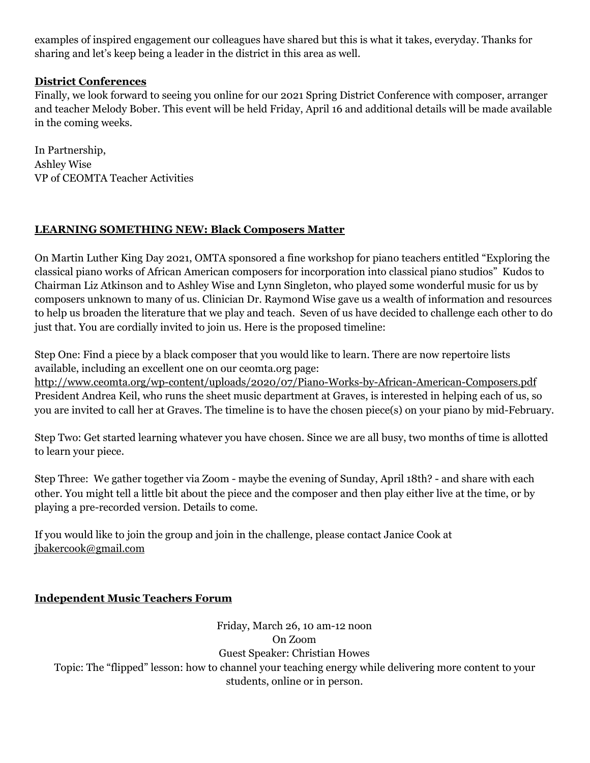examples of inspired engagement our colleagues have shared but this is what it takes, everyday. Thanks for sharing and let's keep being a leader in the district in this area as well.

### **District Conferences**

Finally, we look forward to seeing you online for our 2021 Spring District Conference with composer, arranger and teacher Melody Bober. This event will be held Friday, April 16 and additional details will be made available in the coming weeks.

In Partnership, Ashley Wise VP of CEOMTA Teacher Activities

## **LEARNING SOMETHING NEW: Black Composers Matter**

On Martin Luther King Day 2021, OMTA sponsored a fine workshop for piano teachers entitled "Exploring the classical piano works of African American composers for incorporation into classical piano studios" Kudos to Chairman Liz Atkinson and to Ashley Wise and Lynn Singleton, who played some wonderful music for us by composers unknown to many of us. Clinician Dr. Raymond Wise gave us a wealth of information and resources to help us broaden the literature that we play and teach. Seven of us have decided to challenge each other to do just that. You are cordially invited to join us. Here is the proposed timeline:

Step One: Find a piece by a black composer that you would like to learn. There are now repertoire lists available, including an excellent one on our ceomta.org page:

<http://www.ceomta.org/wp-content/uploads/2020/07/Piano-Works-by-African-American-Composers.pdf> President Andrea Keil, who runs the sheet music department at Graves, is interested in helping each of us, so you are invited to call her at Graves. The timeline is to have the chosen piece(s) on your piano by mid-February.

Step Two: Get started learning whatever you have chosen. Since we are all busy, two months of time is allotted to learn your piece.

Step Three: We gather together via Zoom - maybe the evening of Sunday, April 18th? - and share with each other. You might tell a little bit about the piece and the composer and then play either live at the time, or by playing a pre-recorded version. Details to come.

If you would like to join the group and join in the challenge, please contact Janice Cook at [jbakercook@gmail.com](mailto:jbakercook@gmail.com)

## **Independent Music Teachers Forum**

Friday, March 26, 10 am-12 noon On Zoom Guest Speaker: Christian Howes Topic: The "flipped" lesson: how to channel your teaching energy while delivering more content to your students, online or in person.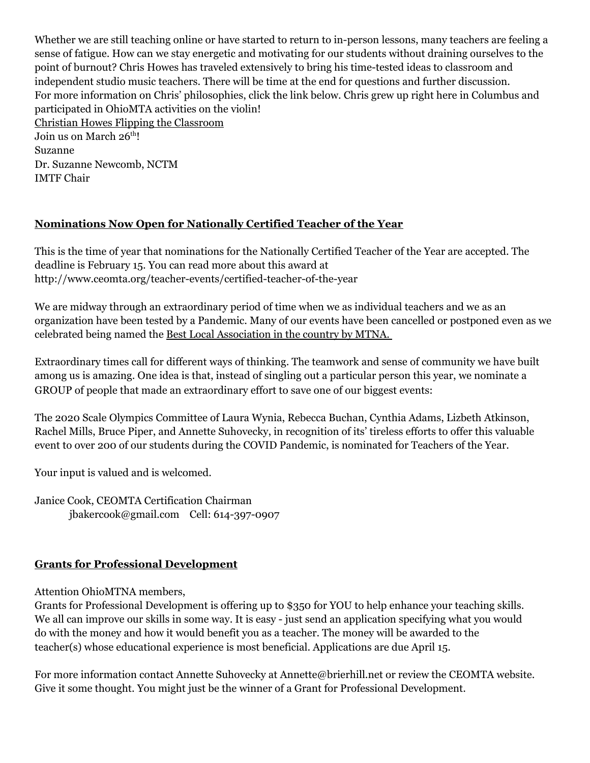Whether we are still teaching online or have started to return to in-person lessons, many teachers are feeling a sense of fatigue. How can we stay energetic and motivating for our students without draining ourselves to the point of burnout? Chris Howes has traveled extensively to bring his time-tested ideas to classroom and independent studio music teachers. There will be time at the end for questions and further discussion. For more information on Chris' philosophies, click the link below. Chris grew up right here in Columbus and participated in OhioMTA activities on the violin! Christian Howes Flipping the [Classroom](https://christianhowes.com/2020/03/15/flip-your-classroom-online/?fbclid=IwAR0k-y9qrVcUwE9i3UAcnwuq18rusAEhQCfaaoJyam5XhFUseQSGMtG-un4) Join us on March 26<sup>th</sup>! Suzanne Dr. Suzanne Newcomb, NCTM IMTF Chair

#### **Nominations Now Open for Nationally Certified Teacher of the Year**

This is the time of year that nominations for the Nationally Certified Teacher of the Year are accepted. The deadline is February 15. You can read more about this award at http://www.ceomta.org/teacher-events/certified-teacher-of-the-year

We are midway through an extraordinary period of time when we as individual teachers and we as an organization have been tested by a Pandemic. Many of our events have been cancelled or postponed even as we celebrated being named the Best Local Association in the country by MTNA.

Extraordinary times call for different ways of thinking. The teamwork and sense of community we have built among us is amazing. One idea is that, instead of singling out a particular person this year, we nominate a GROUP of people that made an extraordinary effort to save one of our biggest events:

The 2020 Scale Olympics Committee of Laura Wynia, Rebecca Buchan, Cynthia Adams, Lizbeth Atkinson, Rachel Mills, Bruce Piper, and Annette Suhovecky, in recognition of its' tireless efforts to offer this valuable event to over 200 of our students during the COVID Pandemic, is nominated for Teachers of the Year.

Your input is valued and is welcomed.

Janice Cook, CEOMTA Certification Chairman jbakercook@gmail.com Cell: 614-397-0907

#### **Grants for Professional Development**

Attention OhioMTNA members,

Grants for Professional Development is offering up to \$350 for YOU to help enhance your teaching skills. We all can improve our skills in some way. It is easy - just send an application specifying what you would do with the money and how it would benefit you as a teacher. The money will be awarded to the teacher(s) whose educational experience is most beneficial. Applications are due April 15.

For more information contact Annette Suhovecky at Annette@brierhill.net or review the CEOMTA website. Give it some thought. You might just be the winner of a Grant for Professional Development.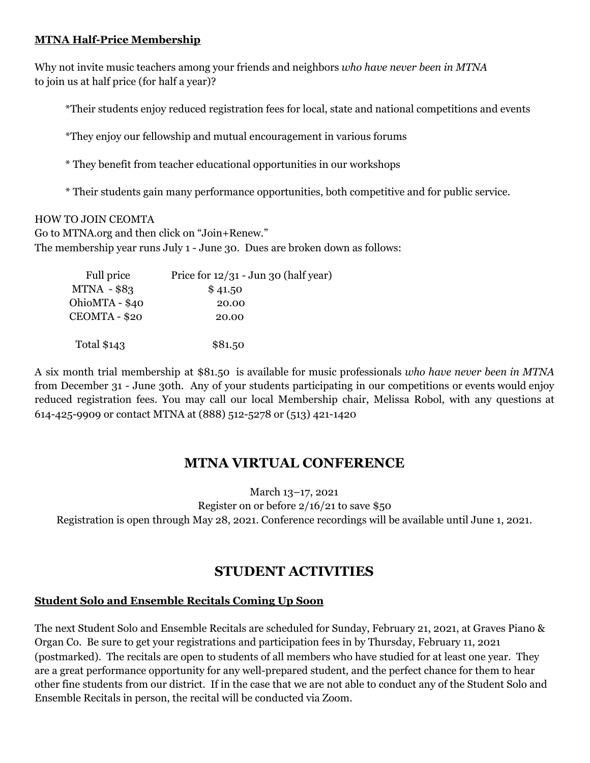#### **MTNA Half-Price Membership**

Why not invite music teachers among your friends and neighbors *who have never been in MTNA* to join us at half price (for half a year)?

\*Their students enjoy reduced registration fees for local, state and national competitions and events

\*They enjoy our fellowship and mutual encouragement in various forums

\* They benefit from teacher educational opportunities in our workshops

\* Their students gain many performance opportunities, both competitive and for public service.

HOW TO JOIN CEOMTA Go to [MTNA.org](http://mtna.org/) and then click on "Join+Renew." The membership year runs July 1 - June 30. Dues are broken down as follows:

| Full price     | Price for $12/31$ - Jun 30 (half year) |
|----------------|----------------------------------------|
| $MTNA - $83$   | \$41.50                                |
| OhioMTA - \$40 | 20.00                                  |
| CEOMTA - \$20  | 20.00                                  |
|                |                                        |
| Total \$143    | \$81.50                                |

A six month trial membership at \$81.50 is available for music professionals *who have never been in MTNA* from December 31 - June 30th. Any of your students participating in our competitions or events would enjoy reduced registration fees. You may call our local Membership chair, Melissa Robol, with any questions at 614-425-9909 or contact MTNA at (888) 512-5278 or (513) 421-1420

# **MTNA VIRTUAL CONFERENCE**

March 13–17, 2021 Register on or before 2/16/21 to save \$50 Registration is open through May 28, 2021. Conference recordings will be available until June 1, 2021.

# **STUDENT ACTIVITIES**

## **Student Solo and Ensemble Recitals Coming Up Soon**

The next Student Solo and Ensemble Recitals are scheduled for Sunday, February 21, 2021, at Graves Piano & Organ Co. Be sure to get your registrations and participation fees in by Thursday, February 11, 2021 (postmarked). The recitals are open to students of all members who have studied for at least one year. They are a great performance opportunity for any well-prepared student, and the perfect chance for them to hear other fine students from our district. If in the case that we are not able to conduct any of the Student Solo and Ensemble Recitals in person, the recital will be conducted via Zoom.